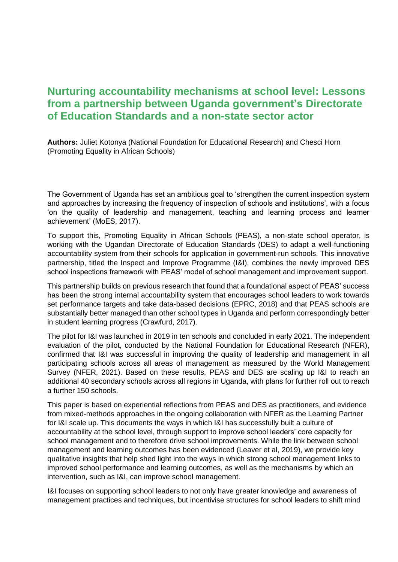## **Nurturing accountability mechanisms at school level: Lessons from a partnership between Uganda government's Directorate of Education Standards and a non-state sector actor**

**Authors:** Juliet Kotonya (National Foundation for Educational Research) and Chesci Horn (Promoting Equality in African Schools)

The Government of Uganda has set an ambitious goal to 'strengthen the current inspection system and approaches by increasing the frequency of inspection of schools and institutions', with a focus 'on the quality of leadership and management, teaching and learning process and learner achievement' (MoES, 2017).

To support this, Promoting Equality in African Schools (PEAS), a non-state school operator, is working with the Ugandan Directorate of Education Standards (DES) to adapt a well-functioning accountability system from their schools for application in government-run schools. This innovative partnership, titled the Inspect and Improve Programme (I&I), combines the newly improved DES school inspections framework with PEAS' model of school management and improvement support.

This partnership builds on previous research that found that a foundational aspect of PEAS' success has been the strong internal accountability system that encourages school leaders to work towards set performance targets and take data-based decisions (EPRC, 2018) and that PEAS schools are substantially better managed than other school types in Uganda and perform correspondingly better in student learning progress (Crawfurd, 2017).

The pilot for I&I was launched in 2019 in ten schools and concluded in early 2021. The independent evaluation of the pilot, conducted by the National Foundation for Educational Research (NFER), confirmed that I&I was successful in improving the quality of leadership and management in all participating schools across all areas of management as measured by the World Management Survey (NFER, 2021). Based on these results, PEAS and DES are scaling up I&I to reach an additional 40 secondary schools across all regions in Uganda, with plans for further roll out to reach a further 150 schools.

This paper is based on experiential reflections from PEAS and DES as practitioners, and evidence from mixed-methods approaches in the ongoing collaboration with NFER as the Learning Partner for I&I scale up. This documents the ways in which I&I has successfully built a culture of accountability at the school level, through support to improve school leaders' core capacity for school management and to therefore drive school improvements. While the link between school management and learning outcomes has been evidenced (Leaver et al, 2019), we provide key qualitative insights that help shed light into the ways in which strong school management links to improved school performance and learning outcomes, as well as the mechanisms by which an intervention, such as I&I, can improve school management.

I&I focuses on supporting school leaders to not only have greater knowledge and awareness of management practices and techniques, but incentivise structures for school leaders to shift mind